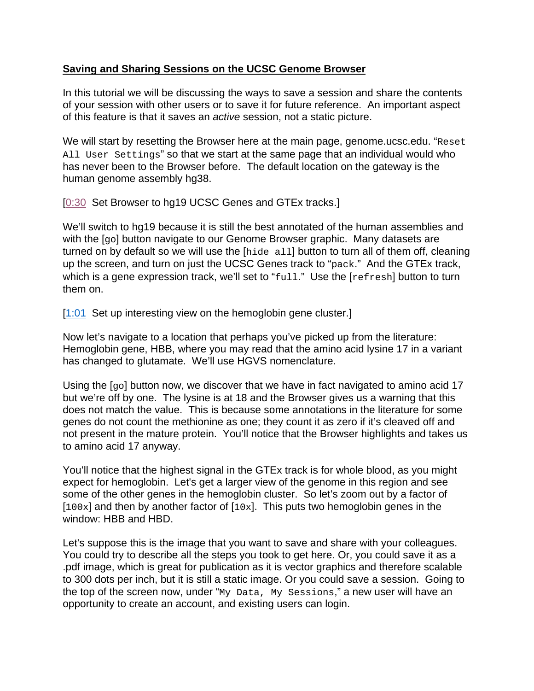## **Saving and Sharing Sessions on the UCSC Genome Browser**

In this tutorial we will be discussing the ways to save a session and share the contents of your session with other users or to save it for future reference. An important aspect of this feature is that it saves an *active* session, not a static picture.

We will start by resetting the Browser here at the main page, genome.ucsc.edu. "Reset All User Settings" so that we start at the same page that an individual would who has never been to the Browser before. The default location on the gateway is the human genome assembly hg38.

[\[0:30](https://www.youtube.com/watch?v=d5rHBLXwraM&feature=youtu.be&feature=player_detailpage&v=8ATcoDTOc0g&list=UUQnUJepyNOw0p8s2otX4RYQ&t=30s) Set Browser to hg19 UCSC Genes and GTEx tracks.]

We'll switch to hg19 because it is still the best annotated of the human assemblies and with the [go] button navigate to our Genome Browser graphic. Many datasets are turned on by default so we will use the [hide all] button to turn all of them off, cleaning up the screen, and turn on just the UCSC Genes track to "pack." And the GTEx track, which is a gene expression track, we'll set to "full." Use the [refresh] button to turn them on.

[\[1:01](https://www.youtube.com/watch?v=d5rHBLXwraM&feature=youtu.be&feature=player_detailpage&v=8ATcoDTOc0g&list=UUQnUJepyNOw0p8s2otX4RYQ&t=61s)] Set up interesting view on the hemoglobin gene cluster.]

Now let's navigate to a location that perhaps you've picked up from the literature: Hemoglobin gene, HBB, where you may read that the amino acid lysine 17 in a variant has changed to glutamate. We'll use HGVS nomenclature.

Using the  $\lceil q_0 \rceil$  button now, we discover that we have in fact navigated to amino acid 17 but we're off by one. The lysine is at 18 and the Browser gives us a warning that this does not match the value. This is because some annotations in the literature for some genes do not count the methionine as one; they count it as zero if it's cleaved off and not present in the mature protein. You'll notice that the Browser highlights and takes us to amino acid 17 anyway.

You'll notice that the highest signal in the GTEx track is for whole blood, as you might expect for hemoglobin. Let's get a larger view of the genome in this region and see some of the other genes in the hemoglobin cluster. So let's zoom out by a factor of  $[100x]$  and then by another factor of  $[10x]$ . This puts two hemoglobin genes in the window: HBB and HBD.

Let's suppose this is the image that you want to save and share with your colleagues. You could try to describe all the steps you took to get here. Or, you could save it as a .pdf image, which is great for publication as it is vector graphics and therefore scalable to 300 dots per inch, but it is still a static image. Or you could save a session. Going to the top of the screen now, under "My Data, My Sessions," a new user will have an opportunity to create an account, and existing users can login.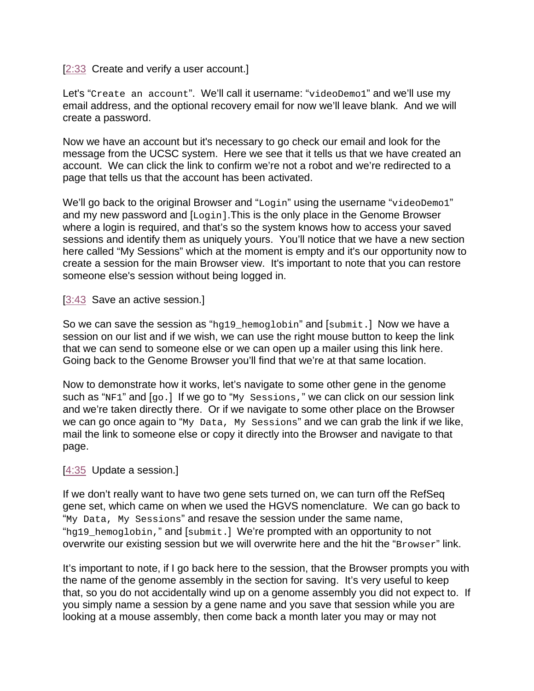## [\[2:33](https://www.youtube.com/watch?v=d5rHBLXwraM&feature=youtu.be&feature=player_detailpage&v=8ATcoDTOc0g&list=UUQnUJepyNOw0p8s2otX4RYQ&t=153s) Create and verify a user account.]

Let's "Create an account". We'll call it username: "videoDemo1" and we'll use my email address, and the optional recovery email for now we'll leave blank. And we will create a password.

Now we have an account but it's necessary to go check our email and look for the message from the UCSC system. Here we see that it tells us that we have created an account. We can click the link to confirm we're not a robot and we're redirected to a page that tells us that the account has been activated.

We'll go back to the original Browser and "Login" using the username "videoDemo1" and my new password and [Login]. This is the only place in the Genome Browser where a login is required, and that's so the system knows how to access your saved sessions and identify them as uniquely yours. You'll notice that we have a new section here called "My Sessions" which at the moment is empty and it's our opportunity now to create a session for the main Browser view. It's important to note that you can restore someone else's session without being logged in.

## [\[3:43](https://www.youtube.com/watch?v=d5rHBLXwraM&feature=youtu.be&feature=player_detailpage&v=8ATcoDTOc0g&list=UUQnUJepyNOw0p8s2otX4RYQ&t=223s) Save an active session.]

So we can save the session as "hg19\_hemoglobin" and [submit.] Now we have a session on our list and if we wish, we can use the right mouse button to keep the link that we can send to someone else or we can open up a mailer using this link here. Going back to the Genome Browser you'll find that we're at that same location.

Now to demonstrate how it works, let's navigate to some other gene in the genome such as "NF1" and  $[g_0.]$  If we go to "My Sessions," we can click on our session link and we're taken directly there. Or if we navigate to some other place on the Browser we can go once again to "My Data, My Sessions" and we can grab the link if we like, mail the link to someone else or copy it directly into the Browser and navigate to that page.

## [\[4:35](https://www.youtube.com/watch?v=d5rHBLXwraM&feature=youtu.be&feature=player_detailpage&v=8ATcoDTOc0g&list=UUQnUJepyNOw0p8s2otX4RYQ&t=275s) Update a session.]

If we don't really want to have two gene sets turned on, we can turn off the RefSeq gene set, which came on when we used the HGVS nomenclature. We can go back to "My Data, My Sessions" and resave the session under the same name, "hg19\_hemoglobin," and [submit.] We're prompted with an opportunity to not overwrite our existing session but we will overwrite here and the hit the "Browser" link.

It's important to note, if I go back here to the session, that the Browser prompts you with the name of the genome assembly in the section for saving. It's very useful to keep that, so you do not accidentally wind up on a genome assembly you did not expect to. If you simply name a session by a gene name and you save that session while you are looking at a mouse assembly, then come back a month later you may or may not